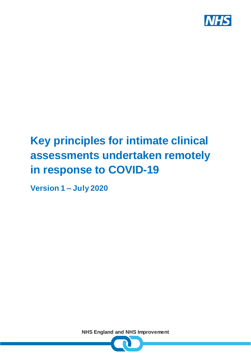

# **Key principles for intimate clinical assessments undertaken remotely in response to COVID-19**

**Version 1 – July 2020**

**NHS England and NHS Improvement**

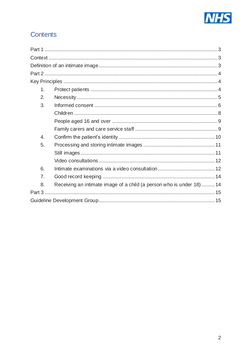

# Contents

| 1.               |                                                                      |
|------------------|----------------------------------------------------------------------|
| 2.               |                                                                      |
| 3.               |                                                                      |
|                  |                                                                      |
|                  |                                                                      |
|                  |                                                                      |
| $\overline{4}$ . |                                                                      |
| 5.               |                                                                      |
|                  |                                                                      |
|                  |                                                                      |
| 6.               |                                                                      |
| 7.               |                                                                      |
| 8.               | Receiving an intimate image of a child (a person who is under 18) 14 |
|                  |                                                                      |
|                  |                                                                      |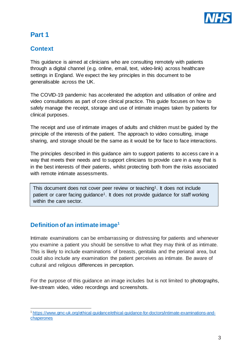

# <span id="page-2-0"></span>**Part 1**

### <span id="page-2-1"></span>**Context**

This guidance is aimed at clinicians who are consulting remotely with patients through a digital channel (e.g. online, email, text, video-link) across healthcare settings in England. We expect the key principles in this document to be generalisable across the UK.

The COVID-19 pandemic has accelerated the adoption and utilisation of online and video consultations as part of core clinical practice. This guide focuses on how to safely manage the receipt, storage and use of intimate images taken by patients for clinical purposes.

The receipt and use of intimate images of adults and children must be guided by the principle of the interests of the patient. The approach to video consulting, image sharing, and storage should be the same as it would be for face to face interactions.

The principles described in this guidance aim to support patients to access care in a way that meets their needs and to support clinicians to provide care in a way that is in the best interests of their patients, whilst protecting both from the risks associated with remote intimate assessments.

This document does not cover peer review or teaching<sup>1</sup>. It does not include patient or carer facing guidance1. It does not provide guidance for staff working within the care sector.

## <span id="page-2-2"></span>**Definition of an intimate image<sup>1</sup>**

j

Intimate examinations can be embarrassing or distressing for patients and whenever you examine a patient you should be sensitive to what they may think of as intimate. This is likely to include examinations of breasts, genitalia and the perianal area, but could also include any examination the patient perceives as intimate. Be aware of cultural and religious differences in perception.

For the purpose of this guidance an image includes but is not limited to photographs, live-stream video, video recordings and screenshots.

<sup>1</sup> [https://www.gmc-uk.org/ethical-guidance/ethical-guidance-for-doctors/intimate-examinations-and](https://www.gmc-uk.org/ethical-guidance/ethical-guidance-for-doctors/intimate-examinations-and-chaperones)[chaperones](https://www.gmc-uk.org/ethical-guidance/ethical-guidance-for-doctors/intimate-examinations-and-chaperones)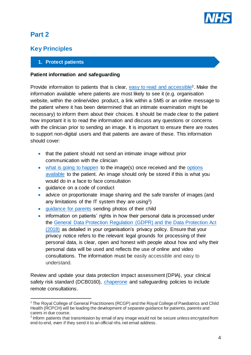

# <span id="page-3-0"></span>**Part 2**

j

## <span id="page-3-1"></span>**Key Principles**

#### <span id="page-3-2"></span>**1. Protect patients**

#### **Patient information and safeguarding**

Provide information to patients that is clear, [easy to read and accessible](https://www.changepeople.org/getmedia/923a6399-c13f-418c-bb29-051413f7e3a3/How-to-make-info-accessible-guide-2016-Final)2. Make the information available where patients are most likely to see it (e.g. organisation website, within the online/video product, a link within a SMS or an online message to the patient where it has been determined that an intimate examination might be necessary) to inform them about their choices. It should be made clear to the patient how important it is to read the information and discuss any questions or concerns with the clinician prior to sending an image. It is important to ensure there are routes to support non-digital users and that patients are aware of these. This information should cover:

- that the patient should not send an intimate image without prior communication with the clinician
- [what is going to happen](#page-6-0) to the image(s) once received and the options [available](#page-5-1) to the patient. An image should only be stored if this is what you would do in a face to face consultation
- guidance on a code of conduct
- advice on proportionate image sharing and the safe transfer of images (and any limitations of the IT system they are using3)
- [guidance for parents](#page-7-0) sending photos of their child
- information on patients' rights in how their personal data is processed under the [General Data Protection Regulation \(GDPR\)](https://digital.nhs.uk/data-and-information/looking-after-information/data-security-and-information-governance/information-governance-alliance-iga/general-data-protection-regulation-gdpr-guidance) and the Data Protection Act [\(2018\)](https://digital.nhs.uk/data-and-information/looking-after-information/data-security-and-information-governance/information-governance-alliance-iga/general-data-protection-regulation-gdpr-guidance) as detailed in your organisation's privacy policy. Ensure that your privacy notice refers to the relevant legal grounds for processing of their personal data, is clear, open and honest with people about how and why their personal data will be used and reflects the use of online and video consultations. The information must be easily accessible and easy to understand.

Review and update your data protection impact assessment (DPIA), your clinical safety risk standard (DCB0160), [chaperone](#page-11-1) and safeguarding policies to include remote consultations.

<sup>&</sup>lt;sup>2</sup> The Royal College of General Practitioners (RCGP) and the Royal College of Paediatrics and Child Health (RCPCH) will be leading the development of separate guidance for patients, parents and carers in due course.

 $3$  Inform patients that transmission by email of any image would not be secure unless encrypted from end-to-end, even if they send it to an official nhs.net email address.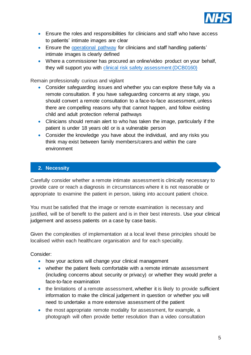

- Ensure the roles and responsibilities for clinicians and staff who have access to patients' intimate images are clear
- Ensure the [operational pathway](#page-6-1) for clinicians and staff handling patients' intimate images is clearly defined
- Where a commissioner has procured an online/video product on your behalf, they will support you with [clinical risk safety assessment \(DCB0160\)](https://digital.nhs.uk/data-and-information/information-standards/information-standards-and-data-collections-including-extractions/publications-and-notifications/standards-and-collections/dcb0160-clinical-risk-management-its-application-in-the-deployment-and-use-of-health-it-systems)

Remain professionally curious and vigilant

- Consider safeguarding issues and whether you can explore these fully via a remote consultation. If you have safeguarding concerns at any stage, you should convert a remote consultation to a face-to-face assessment, unless there are compelling reasons why that cannot happen, and follow existing child and adult protection referral pathways
- Clinicians should remain alert to who has taken the image, particularly if the patient is under 18 years old or is a vulnerable person
- Consider the knowledge you have about the individual, and any risks you think may exist between family members/carers and within the care environment

#### <span id="page-4-0"></span>**2. Necessity**

Carefully consider whether a remote intimate assessment is clinically necessary to provide care or reach a diagnosis in circumstances where it is not reasonable or appropriate to examine the patient in person, taking into account patient choice.

You must be satisfied that the image or remote examination is necessary and justified, will be of benefit to the patient and is in their best interests. Use your clinical judgement and assess patients on a case by case basis.

Given the complexities of implementation at a local level these principles should be localised within each healthcare organisation and for each speciality.

Consider:

- how your actions will change your clinical management
- whether the patient feels comfortable with a remote intimate assessment (including concerns about security or privacy) or whether they would prefer a face-to-face examination
- the limitations of a remote assessment, whether it is likely to provide sufficient information to make the clinical judgement in question or whether you will need to undertake a more extensive assessment of the patient
- the most appropriate remote modality for assessment, for example, a photograph will often provide better resolution than a video consultation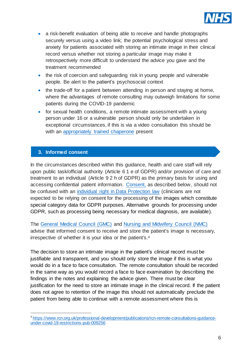

- a risk-benefit evaluation of being able to receive and handle photographs securely versus using a video link; the potential psychological stress and anxiety for patients associated with storing an intimate image in their clinical record versus whether not storing a particular image may make it retrospectively more difficult to understand the advice you gave and the treatment recommended
- the risk of coercion and safeguarding risk in young people and vulnerable people. Be alert to the patient's psychosocial context
- the trade-off for a patient between attending in person and staying at home, where the advantages of remote consulting may outweigh limitations for some patients during the COVID-19 pandemic
- for sexual health conditions, a remote intimate assessment with a young person under 16 or a vulnerable person should only be undertaken in exceptional circumstances, if this is via a video consultation this should be with an appropriately [trained chaperone](#page-11-1) present

#### <span id="page-5-0"></span>**3. Informed consent**

j

In the circumstances described within this guidance, health and care staff will rely upon public task/official authority (Article 6 1 e of GDPR) and/or provision of care and treatment to an individual (Article 9 2 h of GDPR) as the primary basis for using and accessing confidential patient information. [Consent,](https://www.gmc-uk.org/ethical-guidance/ethical-guidance-for-doctors/consent/part-2-making-decisions-about-investigations-and-treatment) as described below, should not be confused with an [individual right in Data Protection law](https://ico.org.uk/your-data-matters/) (clinicians are not expected to be relying on consent for the processing of the images which constitute special category data for GDPR purposes. Alternative grounds for processing under GDPR, such as processing being necessary for medical diagnosis, are available).

The [General Medical Council](https://www.gmc-uk.org/-/media/documents/making-and-using-visual-and-audio-recordings-of-patients_pdf-58838365.pdf?la=en&hash=682AF2947E542A4B1882563CA71181D011DB06FE) (GMC) and [Nursing and Midwifery Council \(NMC\)](https://www.nmc.org.uk/globalassets/sitedocuments/other-publications/high-level-principles-for-remote-prescribing-.pdf) advise that informed consent to receive and store the patient's image is necessary, irrespective of whether it is your idea or the patient's.<sup>4</sup>

<span id="page-5-1"></span>The decision to store an intimate image in the patient's clinical record must be justifiable and transparent, and you should only store the image if this is what you would do in a face to face consultation. The remote consultation should be recorded in the same way as you would record a face to face examination by describing the findings in the notes and explaining the advice given. There must be clear justification for the need to store an intimate image in the clinical record. If the patient does not agree to retention of the image this should not automatically preclude the patient from being able to continue with a remote assessment where this is

<sup>4</sup> [https://www.rcn.org.uk/professional-development/publications/rcn-remote-consultations-guidance](https://www.rcn.org.uk/professional-development/publications/rcn-remote-consultations-guidance-under-covid-19-restrictions-pub-009256)[under-covid-19-restrictions-pub-009256](https://www.rcn.org.uk/professional-development/publications/rcn-remote-consultations-guidance-under-covid-19-restrictions-pub-009256)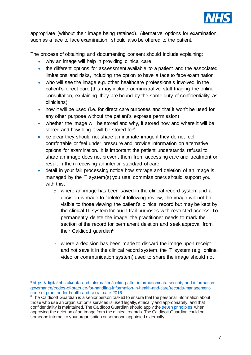

appropriate (without their image being retained). Alternative options for examination, such as a face to face examination, should also be offered to the patient.

<span id="page-6-0"></span>The process of obtaining and documenting consent should include explaining:

- why an image will help in providing clinical care
- the different options for assessment available to a patient and the associated limitations and risks, including the option to have a face to face examination
- who will see the image e.g. other healthcare professionals involved in the patient's direct care (this may include administrative staff triaging the online consultation, explaining they are bound by the same duty of confidentiality as clinicians)
- how it will be used (i.e. for direct care purposes and that it won't be used for any other purpose without the patient's express permission)
- whether the image will be stored and why, if stored how and where it will be stored and how long it will be stored for<sup>5</sup>
- be clear they should not share an intimate image if they do not feel comfortable or feel under pressure and provide information on alternative options for examination. It is important the patient understands refusal to share an image does not prevent them from accessing care and treatment or result in them receiving an inferior standard of care
- <span id="page-6-1"></span>• detail in your fair processing notice how storage and deletion of an image is managed by the IT system(s) you use, commissioners should support you with this.
	- o where an image has been saved in the clinical record system and a decision is made to 'delete' it following review, the image will not be visible to those viewing the patient's clinical record but may be kept by the clinical IT system for audit trail purposes with restricted access. To permanently delete the image, the practitioner needs to mark the section of the record for permanent deletion and seek approval from their Caldicott guardian<sup>6</sup>
	- o where a decision has been made to discard the image upon receipt and not save it in the clinical record system, the IT system (e.g. online, video or communication system) used to share the image should not

j <sup>5</sup> [https://digital.nhs.uk/data-and-information/looking-after-information/data-security-and-information](https://digital.nhs.uk/data-and-information/looking-after-information/data-security-and-information-governance/codes-of-practice-for-handling-information-in-health-and-care/records-management-code-of-practice-for-health-and-social-care-2016)[governance/codes-of-practice-for-handling-information-in-health-and-care/records-management](https://digital.nhs.uk/data-and-information/looking-after-information/data-security-and-information-governance/codes-of-practice-for-handling-information-in-health-and-care/records-management-code-of-practice-for-health-and-social-care-2016)[code-of-practice-for-health-and-social-care-2016](https://digital.nhs.uk/data-and-information/looking-after-information/data-security-and-information-governance/codes-of-practice-for-handling-information-in-health-and-care/records-management-code-of-practice-for-health-and-social-care-2016)

 $6$  The Caldicott Guardian is a senior person tasked to ensure that the personal information about those who use an organisation's services is used legally, ethically and appropriately, and that confidentiality is maintained. The Caldicott Guardian should apply the [seven principles](https://www.ukcgc.uk/manual/principles) when approving the deletion of an image from the clinical records. The Caldicott Guardian could be someone internal to your organisation or someone appointed externally.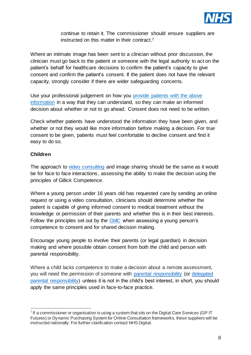

continue to retain it. The commissioner should ensure suppliers are instructed on this matter in their contract. 7

Where an intimate image has been sent to a clinician without prior discussion, the clinician must go back to the patient or someone with the legal authority to act on the patient's behalf for healthcare decisions to confirm the patient's capacity to give consent and confirm the patient's consent. If the patient does not have the relevant capacity, strongly consider if there are wider safeguarding concerns.

Use your professional judgement on how you [provide patients with the above](#page-3-2)  [information](#page-3-2) in a way that they can understand, so they can make an informed decision about whether or not to go ahead. Consent does not need to be written.

Check whether patients have understood the information they have been given, and whether or not they would like more information before making a decision. For true consent to be given, patients must feel comfortable to decline consent and find it easy to do so.

#### <span id="page-7-0"></span>**Children**

j

The approach to [video consulting](#page-11-1) and image sharing should be the same as it would be for face to face interactions, assessing the ability to make the decision using the principles of Gillick Competence.

Where a young person under 16 years old has requested care by sending an online request or using a video consultation, clinicians should determine whether the patient is capable of giving informed consent to medical treatment without the knowledge or permission of their parents and whether this is in their best interests. Follow the principles set out by the [GMC](https://www.gmc-uk.org/ethical-guidance/ethical-guidance-for-doctors/0-18-years/making-decisions#paragraph-24) when assessing a young person's competence to consent and for shared decision making.

Encourage young people to involve their parents (or legal guardian) in decision making and where possible obtain consent from both the child and person with parental responsibility.

Where a child lacks competence to make a decision about a remote assessment, you will need the permission of someone with [parental responsibility](https://www.legislation.gov.uk/ukpga/1989/41/section/2) (or [delegated](https://www.legislation.gov.uk/ukpga/1989/41/section/3)  [parental responsibility\)](https://www.legislation.gov.uk/ukpga/1989/41/section/3) unless it is not in the child's best interest, in short, you should apply the same principles used in face-to-face practice.

 $7$  If a commissioner or organisation is using a system that sits on the Digital Care Services (GP IT Futures) or Dynamic Purchasing System for Online Consultation frameworks, these suppliers will be instructed nationally. For further clarification contact NHS Digital.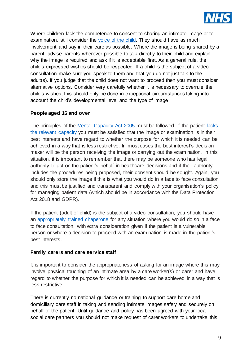

Where children lack the competence to consent to sharing an intimate image or to examination, still consider the [voice of the child.](https://www.gmc-uk.org/ethical-guidance/ethical-guidance-for-doctors/0-18-years/communication) They should have as much involvement and say in their care as possible. Where the image is being shared by a parent, advise parents wherever possible to talk directly to their child and explain why the image is required and ask if it is acceptable first. As a general rule, the child's expressed wishes should be respected. If a child is the subject of a video consultation make sure you speak to them and that you do not just talk to the adult(s). If you judge that the child does not want to proceed then you must consider alternative options. Consider very carefully whether it is necessary to overrule the child's wishes, this should only be done in exceptional circumstances taking into account the child's developmental level and the type of image.

#### <span id="page-8-0"></span>**People aged 16 and over**

The principles of the [Mental Capacity Act 2005](https://assets.publishing.service.gov.uk/government/uploads/system/uploads/attachment_data/file/497253/Mental-capacity-act-code-of-practice.pdf) must be followed. If the patient [lacks](https://www.legislation.gov.uk/ukpga/2005/9/section/2)  [the relevant capacity](https://www.legislation.gov.uk/ukpga/2005/9/section/2) you must be satisfied that the image or examination is in their best interests and have regard to whether the purpose for which it is needed can be achieved in a way that is less restrictive. In most cases the best interest's decision maker will be the person receiving the image or carrying out the examination. In this situation, it is important to remember that there may be someone who has legal authority to act on the patient's behalf in healthcare decisions and if their authority includes the procedures being proposed, their consent should be sought. Again, you should only store the image if this is what you would do in a face to face consultation and this must be justified and transparent and comply with your organisation's policy for managing patient data (which should be in accordance with the Data Protection Act 2018 and GDPR).

If the patient (adult or child) is the subject of a video consultation, you should have an [appropriately trained chaperone](#page-11-1) for any situation where you would do so in a face to face consultation, with extra consideration given if the patient is a vulnerable person or where a decision to proceed with an examination is made in the patient's best interests.

#### <span id="page-8-1"></span>**Family carers and care service staff**

It is important to consider the appropriateness of asking for an image where this may involve physical touching of an intimate area by a care worker(s) or carer and have regard to whether the purpose for which it is needed can be achieved in a way that is less restrictive.

There is currently no national guidance or training to support care home and domiciliary care staff in taking and sending intimate images safely and securely on behalf of the patient. Until guidance and policy has been agreed with your local social care partners you should not make request of carer workers to undertake this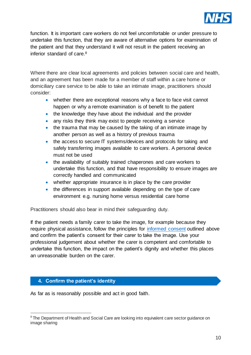

function. It is important care workers do not feel uncomfortable or under pressure to undertake this function, that they are aware of alternative options for examination of the patient and that they understand it will not result in the patient receiving an inferior standard of care.<sup>8</sup>

Where there are clear local agreements and policies between social care and health, and an agreement has been made for a member of staff within a care home or domiciliary care service to be able to take an intimate image, practitioners should consider:

- whether there are exceptional reasons why a face to face visit cannot happen or why a remote examination is of benefit to the patient
- the knowledge they have about the individual and the provider
- any risks they think may exist to people receiving a service
- the trauma that may be caused by the taking of an intimate image by another person as well as a history of previous trauma
- the access to secure IT systems/devices and protocols for taking and safely transferring images available to care workers. A personal device must not be used
- the availability of suitably trained chaperones and care workers to undertake this function, and that have responsibility to ensure images are correctly handled and communicated
- whether appropriate insurance is in place by the care provider
- the differences in support available depending on the type of care environment e.g. nursing home versus residential care home

Practitioners should also bear in mind their safeguarding duty.

If the patient needs a family carer to take the image, for example because they require physical assistance, follow the principles for [informed consent](#page-5-0) outlined above and confirm the patient's consent for their carer to take the image. Use your professional judgement about whether the carer is competent and comfortable to undertake this function, the impact on the patient's dignity and whether this places an unreasonable burden on the carer.

#### <span id="page-9-0"></span>**4. Confirm the patient's identity**

j

As far as is reasonably possible and act in good faith.

<sup>&</sup>lt;sup>8</sup> The Department of Health and Social Care are looking into equivalent care sector guidance on image sharing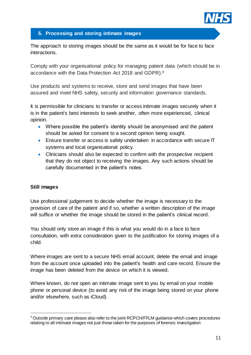

#### <span id="page-10-0"></span>**5. Processing and storing intimate images**

The approach to storing images should be the same as it would be for face to face interactions.

Comply with your organisational policy for managing patient data (which should be in accordance with the Data Protection Act 2018 and GDPR).<sup>9</sup>

Use products and systems to receive, store and send images that have been assured and meet NHS safety, security and information governance standards.

It is permissible for clinicians to transfer or access intimate images securely when it is in the patient's best interests to seek another, often more experienced, clinical opinion.

- Where possible the patient's identity should be anonymised and the patient should be asked for consent to a second opinion being sought.
- Ensure transfer or access is safely undertaken in accordance with secure IT systems and local organisational policy.
- Clinicians should also be expected to confirm with the prospective recipient that they do not object to receiving the images. Any such actions should be carefully documented in the patient's notes.

#### <span id="page-10-1"></span>**Still images**

j

Use professional judgement to decide whether the image is necessary to the provision of care of the patient and if so, whether a written description of the image will suffice or whether the image should be stored in the patient's clinical record.

You should only store an image if this is what you would do in a face to face consultation, with extra consideration given to the justification for storing images of a child.

Where images are sent to a secure NHS email account, delete the email and image from the account once uploaded into the patient's health and care record. Ensure the image has been deleted from the device on which it is viewed.

Where known, do not open an intimate image sent to you by email on your mobile phone or personal device (to avoid any risk of the image being stored on your phone and/or elsewhere, such as iCloud).

<sup>&</sup>lt;sup>9</sup> Outside primary care please also refer to the joint RCPCH/FFLM guidance which covers procedures relating to all intimate images not just those taken for the purposes of forensic investigation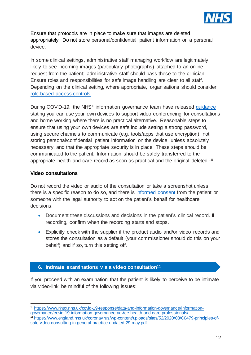

Ensure that protocols are in place to make sure that images are deleted appropriately. Do not store personal/confidential patient information on a personal device.

In some clinical settings, administrative staff managing workflow are legitimately likely to see incoming images (particularly photographs) attached to an online request from the patient; administrative staff should pass these to the clinician. Ensure roles and responsibilities for safe image handling are clear to all staff. Depending on the clinical setting, where appropriate, organisations should consider [role-based access controls.](https://digital.nhs.uk/services/registration-authorities-and-smartcards)

During COVID-19, the NHS<sup> $\times$ </sup> information governance team have released [guidance](https://www.nhsx.nhs.uk/covid-19-response/data-and-information-governance/information-governance/covid-19-information-governance-advice-health-and-care-professionals/) stating you can use your own devices to support video conferencing for consultations and home working where there is no practical alternative. Reasonable steps to ensure that using your own devices are safe include setting a strong password, using secure channels to communicate (e.g. tools/apps that use encryption), not storing personal/confidential patient information on the device, unless absolutely necessary, and that the appropriate security is in place. These steps should be communicated to the patient. Information should be safely transferred to the appropriate health and care record as soon as practical and the original deleted.<sup>10</sup>

#### <span id="page-11-0"></span>**Video consultations**

Do not record the video or audio of the consultation or take a screenshot unless there is a specific reason to do so, and there is [informed consent](https://www.gmc-uk.org/-/media/documents/making-and-using-visual-and-audio-recordings-of-patients_pdf-58838365.pdf?la=en&hash=682AF2947E542A4B1882563CA71181D011DB06FE) from the patient or someone with the legal authority to act on the patient's behalf for healthcare decisions.

- Document these discussions and decisions in the patient's clinical record. If recording, confirm when the recording starts and stops.
- Explicitly check with the supplier if the product audio and/or video records and stores the consultation as a default (your commissioner should do this on your behalf) and if so, turn this setting off.

#### <span id="page-11-1"></span>**6. Intimate examinations via a video consultation<sup>11</sup>**

If you proceed with an examination that the patient is likely to perceive to be intimate via video-link be mindful of the following issues:

j <sup>10</sup> [https://www.nhsx.nhs.uk/covid-19-response/data-and-information-governance/information](https://www.nhsx.nhs.uk/covid-19-response/data-and-information-governance/information-governance/covid-19-information-governance-advice-health-and-care-professionals/)[governance/covid-19-information-governance-advice-health-and-care-professionals/](https://www.nhsx.nhs.uk/covid-19-response/data-and-information-governance/information-governance/covid-19-information-governance-advice-health-and-care-professionals/)

<sup>11</sup> [https://www.england.nhs.uk/coronavirus/wp-content/uploads/sites/52/2020/03/C0479-principles-of](https://www.england.nhs.uk/coronavirus/wp-content/uploads/sites/52/2020/03/C0479-principles-of-safe-video-consulting-in-general-practice-updated-29-may.pdf)[safe-video-consulting-in-general-practice-updated-29-may.pdf](https://www.england.nhs.uk/coronavirus/wp-content/uploads/sites/52/2020/03/C0479-principles-of-safe-video-consulting-in-general-practice-updated-29-may.pdf)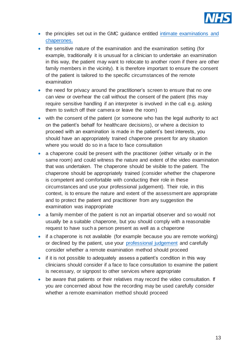

- the principles set out in the GMC guidance entitled intimate examinations and [chaperones.](https://www.gmc-uk.org/ethical-guidance/ethical-guidance-for-doctors/intimate-examinations-and-chaperones)
- the sensitive nature of the examination and the examination setting (for example, traditionally it is unusual for a clinician to undertake an examination in this way, the patient may want to relocate to another room if there are other family members in the vicinity). It is therefore important to ensure the consent of the patient is tailored to the specific circumstances of the remote examination
- the need for privacy around the practitioner's screen to ensure that no one can view or overhear the call without the consent of the patient (this may require sensitive handling if an interpreter is involved in the call e.g. asking them to switch off their camera or leave the room)
- with the consent of the patient (or someone who has the legal authority to act on the patient's behalf for healthcare decisions), or where a decision to proceed with an examination is made in the patient's best interests, you should have an appropriately trained chaperone present for any situation where you would do so in a face to face consultation
- a chaperone could be present with the practitioner (either virtually or in the same room) and could witness the nature and extent of the video examination that was undertaken. The chaperone should be visible to the patient. The chaperone should be appropriately trained (consider whether the chaperone is competent and comfortable with conducting their role in these circumstances and use your professional judgement). Their role, in this context, is to ensure the nature and extent of the assessment are appropriate and to protect the patient and practitioner from any suggestion the examination was inappropriate
- a family member of the patient is not an impartial observer and so would not usually be a suitable chaperone, but you should comply with a reasonable request to have such a person present as well as a chaperone
- if a chaperone is not available (for example because you are remote working) or declined by the patient, use your [professional judgement](https://www.gmc-uk.org/ethical-guidance/ethical-guidance-for-doctors/intimate-examinations-and-chaperones/intimate-examinations-and-chaperones) and carefully consider whether a remote examination method should proceed
- if it is not possible to adequately assess a patient's condition in this way clinicians should consider if a face to face consultation to examine the patient is necessary, or signpost to other services where appropriate
- be aware that patients or their relatives may record the video consultation. If you are concerned about how the recording may be used carefully consider whether a remote examination method should proceed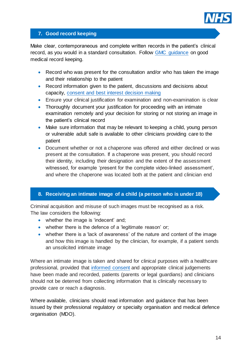

#### <span id="page-13-0"></span>**7. Good record keeping**

Make clear, contemporaneous and complete written records in the patient's clinical record, as you would in a standard consultation. Follow [GMC guidance](https://www.gmc-uk.org/ethical-guidance/ethical-guidance-for-doctors/protecting-children-and-young-people/keeping-records) on good medical record keeping.

- Record who was present for the consultation and/or who has taken the image and their relationship to the patient
- Record information given to the patient, discussions and decisions about capacity, consent [and best interest decision making](https://www.gmc-uk.org/ethical-guidance/ethical-guidance-for-doctors/consent/part-2-making-decisions-about-investigations-and-treatment#paragraph-51)
- Ensure your clinical justification for examination and non-examination is clear
- Thoroughly document your justification for proceeding with an intimate examination remotely and your decision for storing or not storing an image in the patient's clinical record
- Make sure information that may be relevant to keeping a child, young person or vulnerable adult safe is available to other clinicians providing care to the patient
- Document whether or not a chaperone was offered and either declined or was present at the consultation. If a chaperone was present, you should record their identity, including their designation and the extent of the assessment witnessed, for example 'present for the complete video-linked assessment', and where the chaperone was located both at the patient and clinician end

#### <span id="page-13-1"></span>**8. Receiving an intimate image of a child (a person who is under 18)**

Criminal acquisition and misuse of such images must be recognised as a risk. The law considers the following:

- whether the image is 'indecent' and;
- whether there is the defence of a 'legitimate reason' or;
- whether there is a 'lack of awareness' of the nature and content of the image and how this image is handled by the clinician, for example, if a patient sends an unsolicited intimate image

Where an intimate image is taken and shared for clinical purposes with a healthcare professional, provided that [informed consent](#page-5-0) and appropriate clinical judgements have been made and recorded, patients (parents or legal guardians) and clinicians should not be deterred from collecting information that is clinically necessary to provide care or reach a diagnosis.

Where available, clinicians should read information and guidance that has been issued by their professional regulatory or specialty organisation and medical defence organisation (MDO).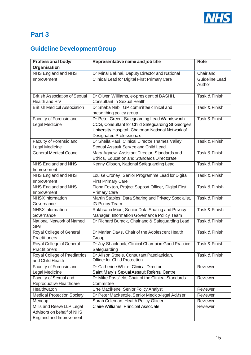

# <span id="page-14-0"></span>**Part 3**

# <span id="page-14-1"></span>**Guideline Development Group**

| Professional body/                   | Representative name and job title                    | <b>Role</b>           |
|--------------------------------------|------------------------------------------------------|-----------------------|
| Organisation                         |                                                      |                       |
| NHS England and NHS                  | Dr Minal Bakhai, Deputy Director and National        | Chair and             |
| Improvement                          | Clinical Lead for Digital First Primary Care         | <b>Guideline Lead</b> |
|                                      |                                                      | Author                |
|                                      |                                                      |                       |
| <b>British Association of Sexual</b> | Dr Olwen Williams, ex-president of BASHH,            | Task & Finish         |
| Health and HIV                       | <b>Consultant in Sexual Health</b>                   |                       |
| <b>British Medical Association</b>   | Dr Shaba Nabi, GP committee clinical and             | Task & Finish         |
|                                      | prescribing policy group                             |                       |
| Faculty of Forensic and              | Dr Peter Green, Safeguarding Lead Wandsworth         | Task & Finish         |
| Legal Medicine                       | CCG, Consultant for Child Safeguarding St George's   |                       |
|                                      | University Hospital, Chairman National Network of    |                       |
|                                      | <b>Designated Professionals</b>                      |                       |
| Faculty of Forensic and              | Dr Sheila Paul, Clinical Director Thames Valley      | Task & Finish         |
| <b>Legal Medicine</b>                | Sexual Assault Service and Child Lead.               |                       |
| <b>General Medical Council</b>       | Mary Agnew, Assistant Director, Standards and        | Task & Finish         |
|                                      | Ethics, Education and Standards Directorate          |                       |
| <b>NHS England and NHS</b>           | Kenny Gibson, National Safeguarding Lead             | Task & Finish         |
| Improvement                          |                                                      |                       |
| NHS England and NHS                  | Louise Croney, Senior Programme Lead for Digital     | Task & Finish         |
| Improvement                          | <b>First Primary Care</b>                            |                       |
| NHS England and NHS                  | Fiona Foxton, Project Support Officer, Digital First | Task & Finish         |
| Improvement                          | <b>Primary Care</b>                                  |                       |
| <b>NHSX</b> Information              | Martin Staples, Data Sharing and Privacy Specialist, | Task & Finish         |
| Governance                           | IG Policy Team                                       |                       |
| <b>NHSX</b> Information              | Rukhsana Mian, Senior Data Sharing and Privacy       | Task & Finish         |
| Governance                           | Manager, Information Governance Policy Team          |                       |
| National Network of Named            | Dr Richard Burack, Chair and & Safeguarding Lead     | Task & Finish         |
| <b>GPs</b>                           |                                                      |                       |
| Royal College of General             | Dr Marian Davis, Chair of the Adolescent Health      | Task & Finish         |
| Practitioners                        | Group                                                |                       |
| Royal College of General             | Dr Joy Shacklock, Clinical Champion Good Practice    | Task & Finish         |
| Practitioners                        | Safeguarding                                         |                       |
| Royal College of Paediatrics         | Dr Alison Steele, Consultant Paediatrician,          | Task & Finish         |
| and Child Health                     | <b>Officer for Child Protection</b>                  |                       |
| Faculty of Forensic and              | Dr Catherine White, Clinical Director                | Reviewer              |
| Legal Medicine                       | Saint Mary's Sexual Assault Referral Centre          |                       |
| <b>Faculty of Sexual and</b>         | Dr Mike Passfield, Chair of the Clinical Standards   | Reviewer              |
| Reproductive Healthcare              | Committee                                            |                       |
| Healthwatch                          | Urte Macikene, Senior Policy Analyst                 | Reviewer              |
| <b>Medical Protection Society</b>    | Dr Peter Mackenzie, Senior Medico-legal Adviser      | Reviewer              |
| Mencap                               | Sarah Coleman, Health Policy Officer                 | Reviewer              |
| Mills and Reeve LLP Legal            | Claire Williams, Principal Associate                 | Reviewer              |
| Advisors on behalf of NHS            |                                                      |                       |
| England and Improvement              |                                                      |                       |